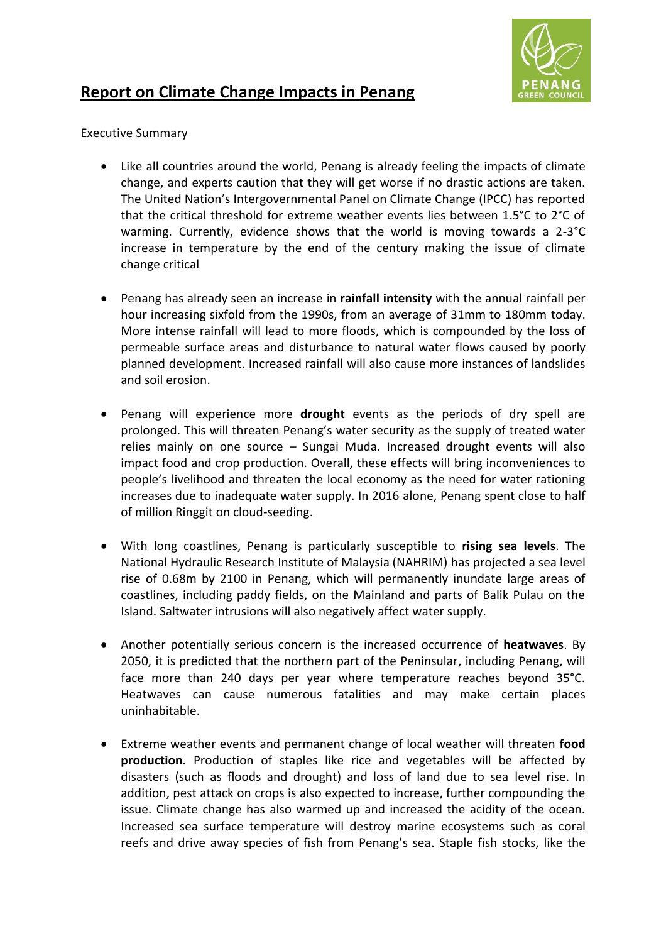

## **Report on Climate Change Impacts in Penang**

Executive Summary

- Like all countries around the world, Penang is already feeling the impacts of climate change, and experts caution that they will get worse if no drastic actions are taken. The United Nation's Intergovernmental Panel on Climate Change (IPCC) has reported that the critical threshold for extreme weather events lies between 1.5°C to 2°C of warming. Currently, evidence shows that the world is moving towards a 2-3°C increase in temperature by the end of the century making the issue of climate change critical
- Penang has already seen an increase in **rainfall intensity** with the annual rainfall per hour increasing sixfold from the 1990s, from an average of 31mm to 180mm today. More intense rainfall will lead to more floods, which is compounded by the loss of permeable surface areas and disturbance to natural water flows caused by poorly planned development. Increased rainfall will also cause more instances of landslides and soil erosion.
- Penang will experience more **drought** events as the periods of dry spell are prolonged. This will threaten Penang's water security as the supply of treated water relies mainly on one source – Sungai Muda. Increased drought events will also impact food and crop production. Overall, these effects will bring inconveniences to people's livelihood and threaten the local economy as the need for water rationing increases due to inadequate water supply. In 2016 alone, Penang spent close to half of million Ringgit on cloud-seeding.
- With long coastlines, Penang is particularly susceptible to **rising sea levels**. The National Hydraulic Research Institute of Malaysia (NAHRIM) has projected a sea level rise of 0.68m by 2100 in Penang, which will permanently inundate large areas of coastlines, including paddy fields, on the Mainland and parts of Balik Pulau on the Island. Saltwater intrusions will also negatively affect water supply.
- Another potentially serious concern is the increased occurrence of **heatwaves**. By 2050, it is predicted that the northern part of the Peninsular, including Penang, will face more than 240 days per year where temperature reaches beyond 35°C. Heatwaves can cause numerous fatalities and may make certain places uninhabitable.
- Extreme weather events and permanent change of local weather will threaten **food production.** Production of staples like rice and vegetables will be affected by disasters (such as floods and drought) and loss of land due to sea level rise. In addition, pest attack on crops is also expected to increase, further compounding the issue. Climate change has also warmed up and increased the acidity of the ocean. Increased sea surface temperature will destroy marine ecosystems such as coral reefs and drive away species of fish from Penang's sea. Staple fish stocks, like the